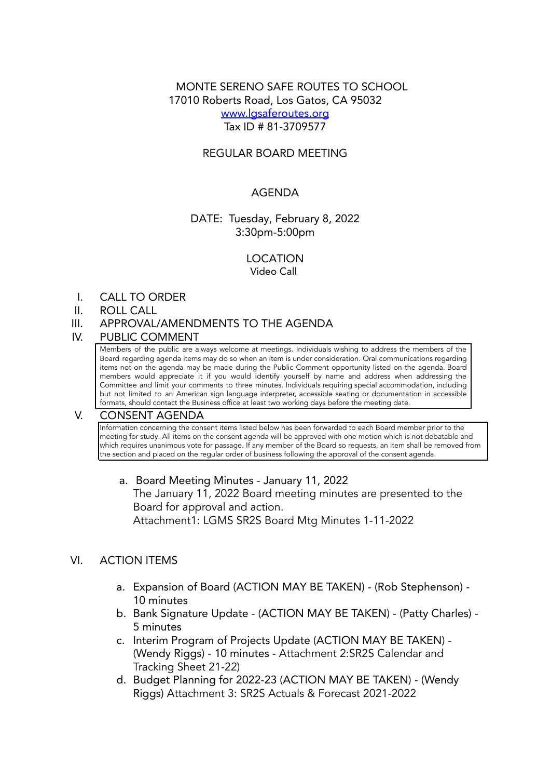# MONTE SERENO SAFE ROUTES TO SCHOOL 17010 Roberts Road, Los Gatos, CA 95032 [www.lgsaferoutes.org](http://www.lgsaferoutes.org) Tax ID # 81-3709577

### REGULAR BOARD MEETING

### AGENDA

### DATE: Tuesday, February 8, 2022 3:30pm-5:00pm

## LOCATION

Video Call

I. CALL TO ORDER

#### II. ROLL CALL

III. APPROVAL/AMENDMENTS TO THE AGENDA

#### IV. PUBLIC COMMENT

Members of the public are always welcome at meetings. Individuals wishing to address the members of the Board regarding agenda items may do so when an item is under consideration. Oral communications regarding items not on the agenda may be made during the Public Comment opportunity listed on the agenda. Board members would appreciate it if you would identify yourself by name and address when addressing the Committee and limit your comments to three minutes. Individuals requiring special accommodation, including but not limited to an American sign language interpreter, accessible seating or documentation in accessible formats, should contact the Business office at least two working days before the meeting date.

#### V. CONSENT AGENDA

Information concerning the consent items listed below has been forwarded to each Board member prior to the meeting for study. All items on the consent agenda will be approved with one motion which is not debatable and which requires unanimous vote for passage. If any member of the Board so requests, an item shall be removed from the section and placed on the regular order of business following the approval of the consent agenda.

a. Board Meeting Minutes - January 11, 2022 The January 11, 2022 Board meeting minutes are presented to the Board for approval and action. Attachment1: LGMS SR2S Board Mtg Minutes 1-11-2022

#### VI. ACTION ITEMS

- a. Expansion of Board (ACTION MAY BE TAKEN) (Rob Stephenson) 10 minutes
- b. Bank Signature Update (ACTION MAY BE TAKEN) (Patty Charles) 5 minutes
- c. Interim Program of Projects Update (ACTION MAY BE TAKEN) (Wendy Riggs) - 10 minutes - Attachment 2:SR2S Calendar and Tracking Sheet 21-22)
- d. Budget Planning for 2022-23 (ACTION MAY BE TAKEN) (Wendy Riggs) Attachment 3: SR2S Actuals & Forecast 2021-2022